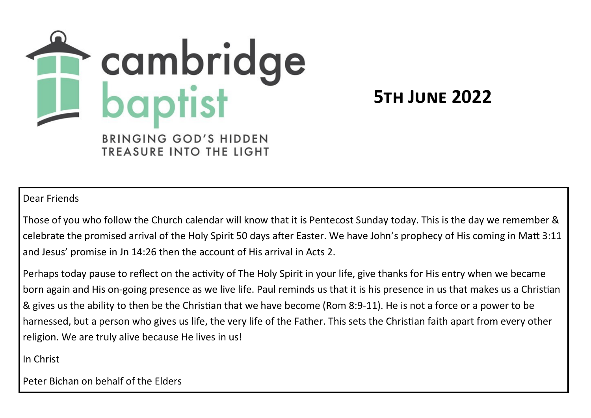

**5th June 2022**

**TREASURE INTO THE LIGHT** 

Dear Friends

Those of you who follow the Church calendar will know that it is Pentecost Sunday today. This is the day we remember & celebrate the promised arrival of the Holy Spirit 50 days after Easter. We have John's prophecy of His coming in Matt 3:11 and Jesus' promise in Jn 14:26 then the account of His arrival in Acts 2.

Perhaps today pause to reflect on the activity of The Holy Spirit in your life, give thanks for His entry when we became born again and His on-going presence as we live life. Paul reminds us that it is his presence in us that makes us a Christian & gives us the ability to then be the Christian that we have become (Rom 8:9-11). He is not a force or a power to be harnessed, but a person who gives us life, the very life of the Father. This sets the Christian faith apart from every other religion. We are truly alive because He lives in us!

In Christ

Peter Bichan on behalf of the Elders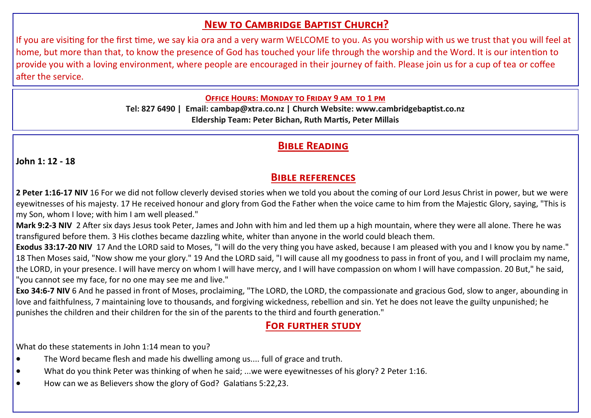# **New to Cambridge Baptist Church?**

If you are visiting for the first time, we say kia ora and a very warm WELCOME to you. As you worship with us we trust that you will feel at home, but more than that, to know the presence of God has touched your life through the worship and the Word. It is our intention to provide you with a loving environment, where people are encouraged in their journey of faith. Please join us for a cup of tea or coffee after the service.

#### **Office Hours: Monday to Friday 9 am to 1 pm**

**Tel: 827 6490 | Email: cambap@xtra.co.nz | Church Website: www.cambridgebaptist.co.nz Eldership Team: Peter Bichan, Ruth Martis, Peter Millais**

## **Bible Reading**

**John 1: 12 - 18**

### **Bible references**

**2 Peter 1:16-17 NIV** 16 For we did not follow cleverly devised stories when we told you about the coming of our Lord Jesus Christ in power, but we were eyewitnesses of his majesty. 17 He received honour and glory from God the Father when the voice came to him from the Majestic Glory, saying, "This is my Son, whom I love; with him I am well pleased."

**Mark 9:2-3 NIV** 2 After six days Jesus took Peter, James and John with him and led them up a high mountain, where they were all alone. There he was transfigured before them. 3 His clothes became dazzling white, whiter than anyone in the world could bleach them.

**Exodus 33:17-20 NIV** 17 And the LORD said to Moses, "I will do the very thing you have asked, because I am pleased with you and I know you by name." 18 Then Moses said, "Now show me your glory." 19 And the LORD said, "I will cause all my goodness to pass in front of you, and I will proclaim my name, the LORD, in your presence. I will have mercy on whom I will have mercy, and I will have compassion on whom I will have compassion. 20 But," he said, "you cannot see my face, for no one may see me and live."

**Exo 34:6-7 NIV** 6 And he passed in front of Moses, proclaiming, "The LORD, the LORD, the compassionate and gracious God, slow to anger, abounding in love and faithfulness, 7 maintaining love to thousands, and forgiving wickedness, rebellion and sin. Yet he does not leave the guilty unpunished; he punishes the children and their children for the sin of the parents to the third and fourth generation."

#### **For further study**

What do these statements in John 1:14 mean to you?

- The Word became flesh and made his dwelling among us.... full of grace and truth.
- What do you think Peter was thinking of when he said; ...we were eyewitnesses of his glory? 2 Peter 1:16.
- How can we as Believers show the glory of God? Galatians 5:22,23.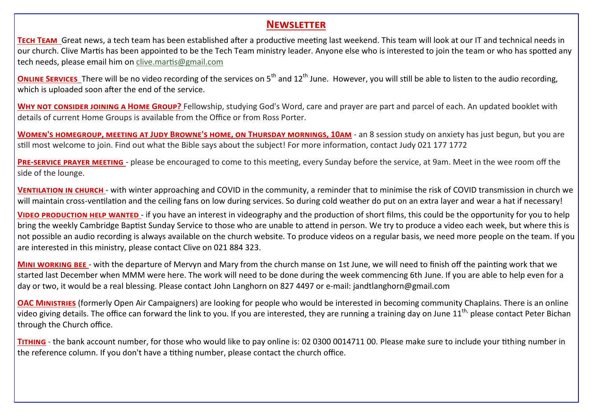#### **Newsletter**

**Tech Team** Great news, a tech team has been established after a productive meeting last weekend. This team will look at our IT and technical needs in our church. Clive Martis has been appointed to be the Tech Team ministry leader. Anyone else who is interested to join the team or who has spotted any tech needs, please email him on [clive.martis@gmail.com](mailto:clive.martis@gmail.com)

**ONLINE SERVICES** There will be no video recording of the services on 5<sup>th</sup> and 12<sup>th</sup> June. However, you will still be able to listen to the audio recording, which is uploaded soon after the end of the service.

WHY NOT CONSIDER JOINING A HOME GROUP? Fellowship, studying God's Word, care and prayer are part and parcel of each. An updated booklet with details of current Home Groups is available from the Office or from Ross Porter.

WOMEN'S HOMEGROUP, MEETING AT JUDY BROWNE'S HOME, ON THURSDAY MORNINGS, 10AM - an 8 session study on anxiety has just begun, but you are still most welcome to join. Find out what the Bible says about the subject! For more information, contact Judy 021 177 1772

**Pre-service prayer meeting** - please be encouraged to come to this meeting, every Sunday before the service, at 9am. Meet in the wee room off the side of the lounge.

**Ventilation in church** - with winter approaching and COVID in the community, a reminder that to minimise the risk of COVID transmission in church we will maintain cross-ventilation and the ceiling fans on low during services. So during cold weather do put on an extra layer and wear a hat if necessary!

**Video production help wanted** - if you have an interest in videography and the production of short films, this could be the opportunity for you to help bring the weekly Cambridge Baptist Sunday Service to those who are unable to attend in person. We try to produce a video each week, but where this is not possible an audio recording is always available on the church website. To produce videos on a regular basis, we need more people on the team. If you are interested in this ministry, please contact Clive on 021 884 323.

**Mini working bee** - with the departure of Mervyn and Mary from the church manse on 1st June, we will need to finish off the painting work that we started last December when MMM were here. The work will need to be done during the week commencing 6th June. If you are able to help even for a day or two, it would be a real blessing. Please contact John Langhorn on 827 4497 or e-mail: jandtlanghorn@gmail.com

**OAC Ministries** (formerly Open Air Campaigners) are looking for people who would be interested in becoming community Chaplains. There is an online video giving details. The office can forward the link to you. If you are interested, they are running a training day on June 11<sup>th,</sup> please contact Peter Bichan through the Church office.

**Tithing** - the bank account number, for those who would like to pay online is: 02 0300 0014711 00. Please make sure to include your tithing number in the reference column. If you don't have a tithing number, please contact the church office.